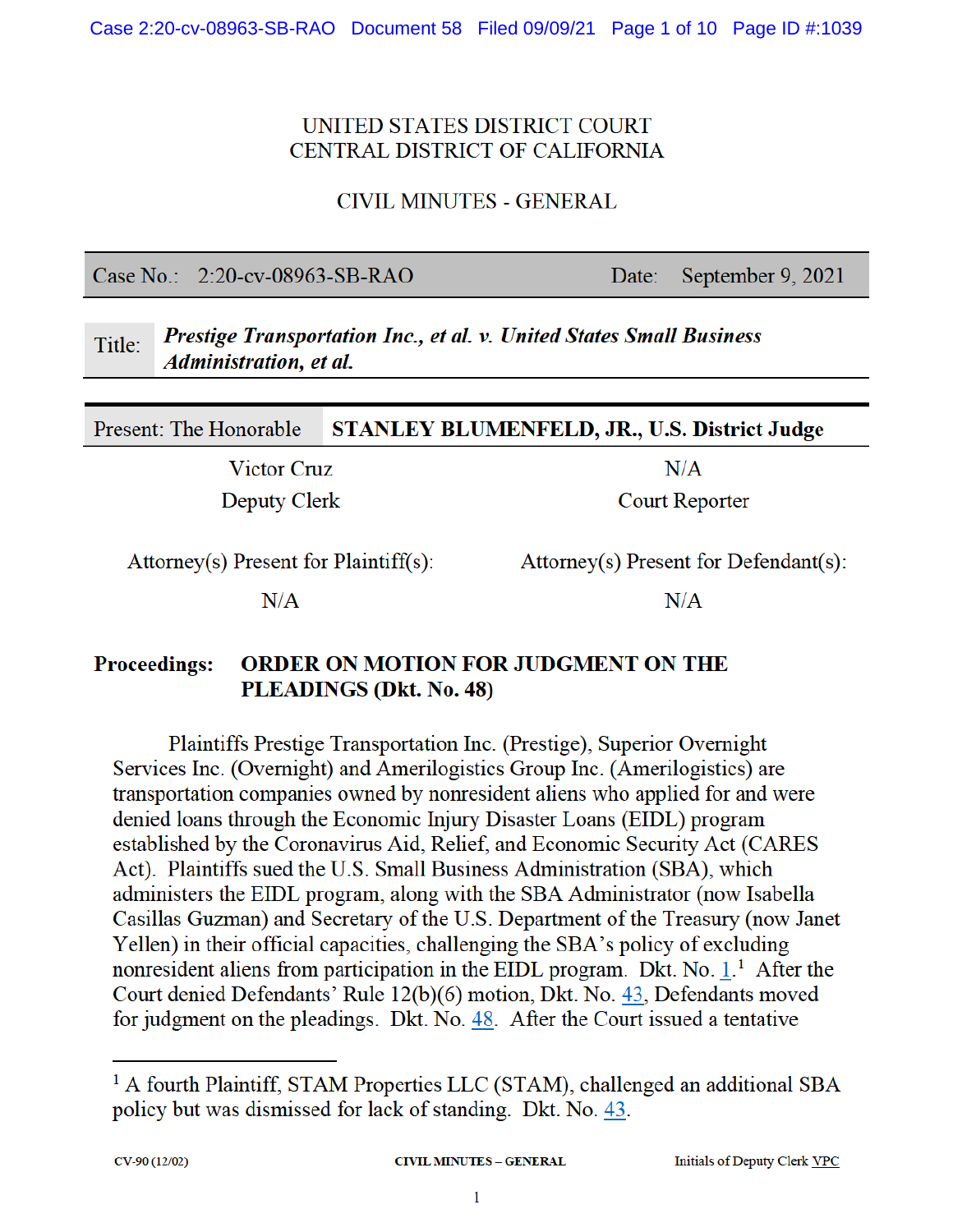## UNITED STATES DISTRICT COURT CENTRAL DISTRICT OF CALIFORNIA

**CIVIL MINUTES - GENERAL** 

Case No.: 2:20-cv-08963-SB-RAO

Date: September 9, 2021

#### Prestige Transportation Inc., et al. v. United States Small Business Title: **Administration**, et al.

Present: The Honorable **STANLEY BLUMENFELD, JR., U.S. District Judge** 

**Victor Cruz** 

**Deputy Clerk** 

Attorney(s) Present for Defendant(s):

 $N/A$ 

**Court Reporter** 

 $N/A$ 

 $Attorney(s)$  Present for Plaintiff(s):

 $N/A$ 

#### **Proceedings: ORDER ON MOTION FOR JUDGMENT ON THE** PLEADINGS (Dkt. No. 48)

Plaintiffs Prestige Transportation Inc. (Prestige), Superior Overnight Services Inc. (Overnight) and Amerilogistics Group Inc. (Amerilogistics) are transportation companies owned by nonresident aliens who applied for and were denied loans through the Economic Injury Disaster Loans (EIDL) program established by the Coronavirus Aid, Relief, and Economic Security Act (CARES Act). Plaintiffs sued the U.S. Small Business Administration (SBA), which administers the EIDL program, along with the SBA Administrator (now Isabella Casillas Guzman) and Secretary of the U.S. Department of the Treasury (now Janet Yellen) in their official capacities, challenging the SBA's policy of excluding nonresident aliens from participation in the EIDL program. Dkt. No.  $1<sup>1</sup>$  After the Court denied Defendants' Rule 12(b)(6) motion, Dkt. No. 43, Defendants moved for judgment on the pleadings. Dkt. No. 48. After the Court issued a tentative

<sup>&</sup>lt;sup>1</sup> A fourth Plaintiff, STAM Properties LLC (STAM), challenged an additional SBA policy but was dismissed for lack of standing. Dkt. No. 43.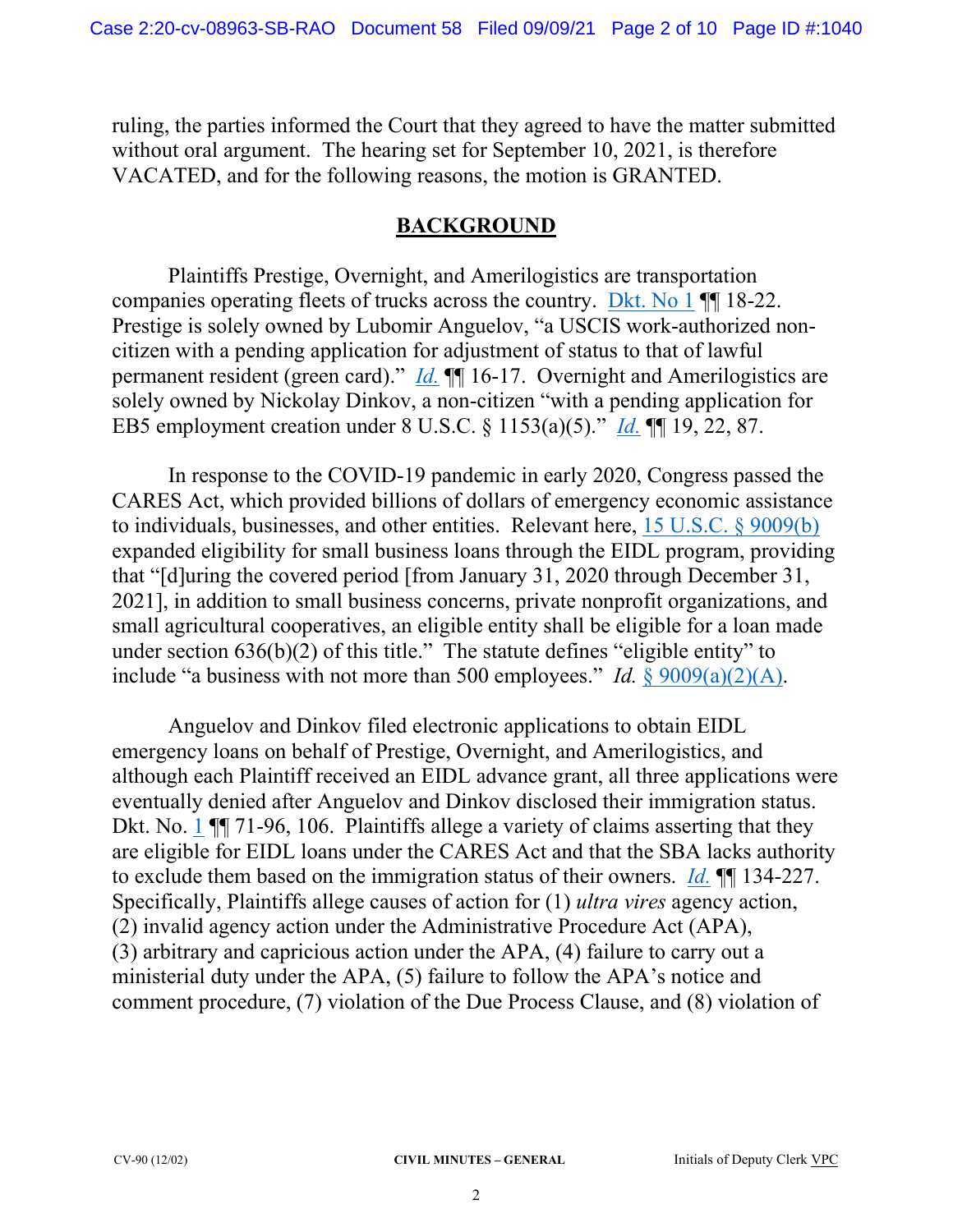ruling, the parties informed the Court that they agreed to have the matter submitted without oral argument. The hearing set for September 10, 2021, is therefore VACATED, and for the following reasons, the motion is GRANTED.

### **BACKGROUND**

Plaintiffs Prestige, Overnight, and Amerilogistics are transportation companies operating fleets of trucks across the country. Dkt. No 1 ¶¶ 18-22. Prestige is solely owned by Lubomir Anguelov, "a USCIS work-authorized noncitizen with a pending application for adjustment of status to that of lawful permanent resident (green card)." *Id.* ¶¶ 16-17. Overnight and Amerilogistics are solely owned by Nickolay Dinkov, a non-citizen "with a pending application for EB5 employment creation under 8 U.S.C. § 1153(a)(5)." *Id.* ¶¶ 19, 22, 87.

In response to the COVID-19 pandemic in early 2020, Congress passed the CARES Act, which provided billions of dollars of emergency economic assistance to individuals, businesses, and other entities. Relevant here, 15 U.S.C. § 9009(b) expanded eligibility for small business loans through the EIDL program, providing that "[d]uring the covered period [from January 31, 2020 through December 31, 2021], in addition to small business concerns, private nonprofit organizations, and small agricultural cooperatives, an eligible entity shall be eligible for a loan made under section 636(b)(2) of this title." The statute defines "eligible entity" to include "a business with not more than 500 employees." *Id.* § 9009(a)(2)(A).

Anguelov and Dinkov filed electronic applications to obtain EIDL emergency loans on behalf of Prestige, Overnight, and Amerilogistics, and although each Plaintiff received an EIDL advance grant, all three applications were eventually denied after Anguelov and Dinkov disclosed their immigration status. Dkt. No. 1  $\P$  71-96, 106. Plaintiffs allege a variety of claims asserting that they are eligible for EIDL loans under the CARES Act and that the SBA lacks authority to exclude them based on the immigration status of their owners. *Id.* ¶¶ 134-227. Specifically, Plaintiffs allege causes of action for (1) *ultra vires* agency action, (2) invalid agency action under the Administrative Procedure Act (APA), (3) arbitrary and capricious action under the APA, (4) failure to carry out a ministerial duty under the APA, (5) failure to follow the APA's notice and comment procedure, (7) violation of the Due Process Clause, and (8) violation of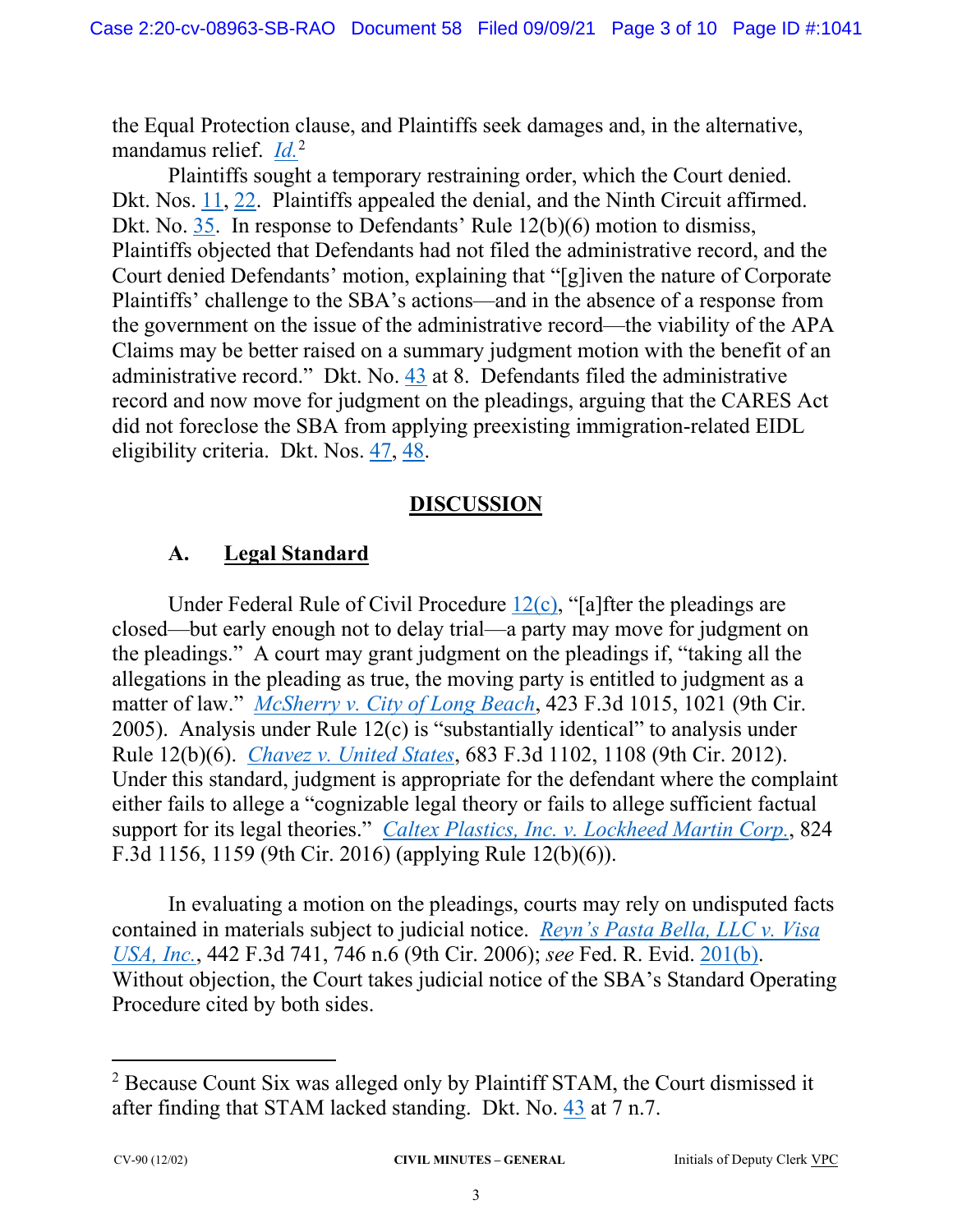the Equal Protection clause, and Plaintiffs seek damages and, in the alternative, mandamus relief. *Id.*<sup>2</sup>

Plaintiffs sought a temporary restraining order, which the Court denied. Dkt. Nos. 11, 22. Plaintiffs appealed the denial, and the Ninth Circuit affirmed. Dkt. No. 35. In response to Defendants' Rule 12(b)(6) motion to dismiss, Plaintiffs objected that Defendants had not filed the administrative record, and the Court denied Defendants' motion, explaining that "[g]iven the nature of Corporate Plaintiffs' challenge to the SBA's actions—and in the absence of a response from the government on the issue of the administrative record—the viability of the APA Claims may be better raised on a summary judgment motion with the benefit of an administrative record." Dkt. No. 43 at 8. Defendants filed the administrative record and now move for judgment on the pleadings, arguing that the CARES Act did not foreclose the SBA from applying preexisting immigration-related EIDL eligibility criteria. Dkt. Nos. 47, 48.

## **DISCUSSION**

## **A. Legal Standard**

Under Federal Rule of Civil Procedure  $12(c)$ , "[a]fter the pleadings are closed—but early enough not to delay trial—a party may move for judgment on the pleadings." A court may grant judgment on the pleadings if, "taking all the allegations in the pleading as true, the moving party is entitled to judgment as a matter of law." *McSherry v. City of Long Beach*, 423 F.3d 1015, 1021 (9th Cir. 2005). Analysis under Rule 12(c) is "substantially identical" to analysis under Rule 12(b)(6). *Chavez v. United States*, 683 F.3d 1102, 1108 (9th Cir. 2012). Under this standard, judgment is appropriate for the defendant where the complaint either fails to allege a "cognizable legal theory or fails to allege sufficient factual support for its legal theories." *Caltex Plastics, Inc. v. Lockheed Martin Corp.*, 824 F.3d 1156, 1159 (9th Cir. 2016) (applying Rule 12(b)(6)).

In evaluating a motion on the pleadings, courts may rely on undisputed facts contained in materials subject to judicial notice. *Reyn's Pasta Bella, LLC v. Visa USA, Inc.*, 442 F.3d 741, 746 n.6 (9th Cir. 2006); *see* Fed. R. Evid. 201(b). Without objection, the Court takes judicial notice of the SBA's Standard Operating Procedure cited by both sides.

<sup>&</sup>lt;sup>2</sup> Because Count Six was alleged only by Plaintiff STAM, the Court dismissed it after finding that STAM lacked standing. Dkt. No. 43 at 7 n.7.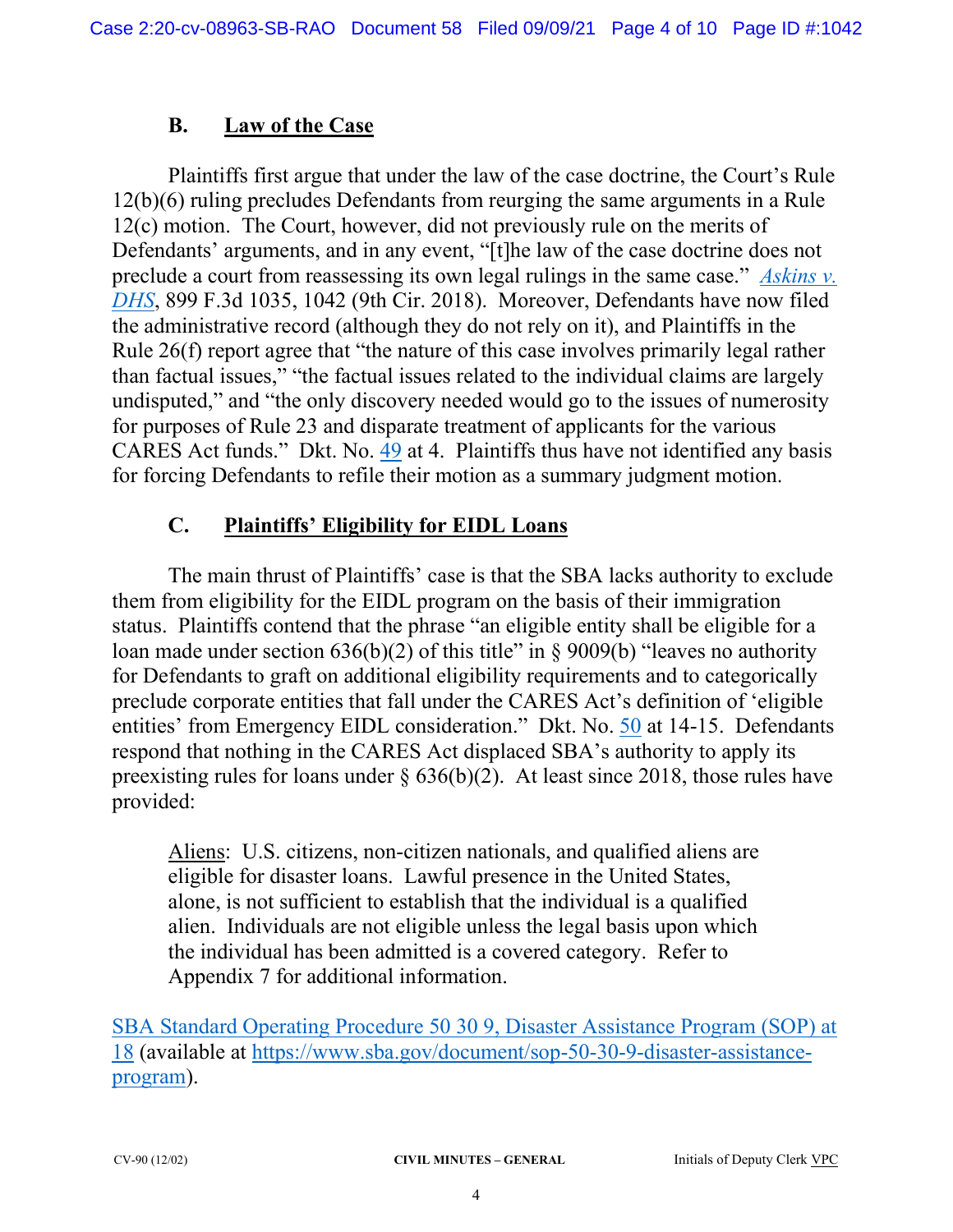## **B. Law of the Case**

Plaintiffs first argue that under the law of the case doctrine, the Court's Rule 12(b)(6) ruling precludes Defendants from reurging the same arguments in a Rule 12(c) motion. The Court, however, did not previously rule on the merits of Defendants' arguments, and in any event, "[t]he law of the case doctrine does not preclude a court from reassessing its own legal rulings in the same case." *Askins v. DHS*, 899 F.3d 1035, 1042 (9th Cir. 2018). Moreover, Defendants have now filed the administrative record (although they do not rely on it), and Plaintiffs in the Rule 26(f) report agree that "the nature of this case involves primarily legal rather than factual issues," "the factual issues related to the individual claims are largely undisputed," and "the only discovery needed would go to the issues of numerosity for purposes of Rule 23 and disparate treatment of applicants for the various CARES Act funds." Dkt. No. 49 at 4. Plaintiffs thus have not identified any basis for forcing Defendants to refile their motion as a summary judgment motion.

## **C. Plaintiffs' Eligibility for EIDL Loans**

The main thrust of Plaintiffs' case is that the SBA lacks authority to exclude them from eligibility for the EIDL program on the basis of their immigration status. Plaintiffs contend that the phrase "an eligible entity shall be eligible for a loan made under section  $636(b)(2)$  of this title" in § 9009(b) "leaves no authority for Defendants to graft on additional eligibility requirements and to categorically preclude corporate entities that fall under the CARES Act's definition of 'eligible entities' from Emergency EIDL consideration." Dkt. No. 50 at 14-15. Defendants respond that nothing in the CARES Act displaced SBA's authority to apply its preexisting rules for loans under § 636(b)(2). At least since 2018, those rules have provided:

Aliens: U.S. citizens, non-citizen nationals, and qualified aliens are eligible for disaster loans. Lawful presence in the United States, alone, is not sufficient to establish that the individual is a qualified alien. Individuals are not eligible unless the legal basis upon which the individual has been admitted is a covered category. Refer to Appendix 7 for additional information.

SBA Standard Operating Procedure 50 30 9, Disaster Assistance Program (SOP) at 18 (available at https://www.sba.gov/document/sop-50-30-9-disaster-assistanceprogram).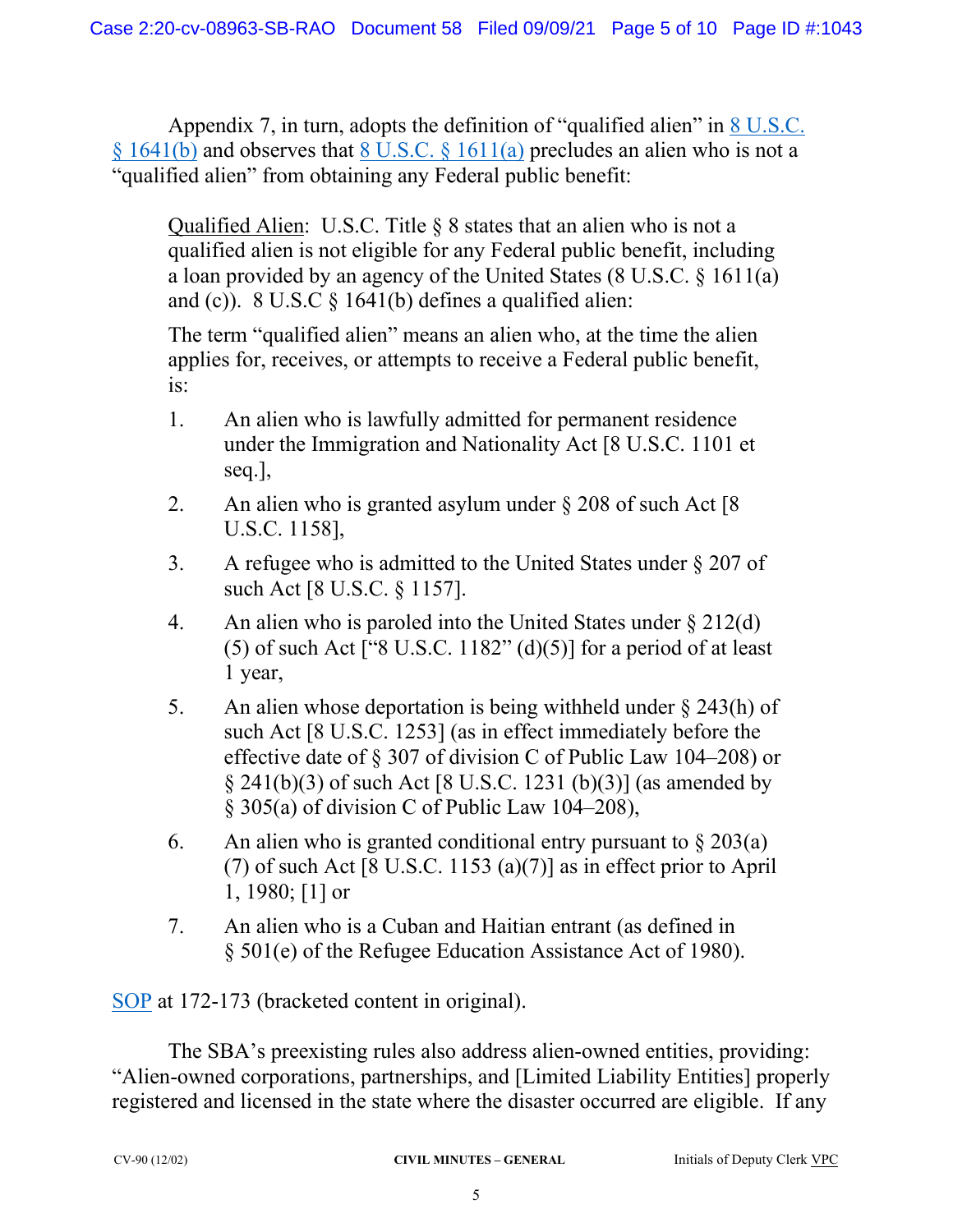Appendix 7, in turn, adopts the definition of "qualified alien" in 8 U.S.C.  $§ 1641(b)$  and observes that 8 U.S.C.  $§ 1611(a)$  precludes an alien who is not a "qualified alien" from obtaining any Federal public benefit:

Qualified Alien: U.S.C. Title § 8 states that an alien who is not a qualified alien is not eligible for any Federal public benefit, including a loan provided by an agency of the United States (8 U.S.C. § 1611(a) and (c)).  $8 \text{ U.S.C } \frac{6}{9}$  1641(b) defines a qualified alien:

The term "qualified alien" means an alien who, at the time the alien applies for, receives, or attempts to receive a Federal public benefit, is:

- 1. An alien who is lawfully admitted for permanent residence under the Immigration and Nationality Act [8 U.S.C. 1101 et seq.],
- 2. An alien who is granted asylum under  $\S 208$  of such Act [8] U.S.C. 1158],
- 3. A refugee who is admitted to the United States under § 207 of such Act [8 U.S.C. § 1157].
- 4. An alien who is paroled into the United States under § 212(d) (5) of such Act ["8 U.S.C.  $1182$ " (d)(5)] for a period of at least 1 year,
- 5. An alien whose deportation is being withheld under § 243(h) of such Act [8 U.S.C. 1253] (as in effect immediately before the effective date of § 307 of division C of Public Law 104–208) or § 241(b)(3) of such Act [8 U.S.C. 1231 (b)(3)] (as amended by § 305(a) of division C of Public Law 104–208),
- 6. An alien who is granted conditional entry pursuant to  $\S 203(a)$ (7) of such Act [8 U.S.C. 1153 (a)(7)] as in effect prior to April 1, 1980; [1] or
- 7. An alien who is a Cuban and Haitian entrant (as defined in § 501(e) of the Refugee Education Assistance Act of 1980).

SOP at 172-173 (bracketed content in original).

The SBA's preexisting rules also address alien-owned entities, providing: "Alien-owned corporations, partnerships, and [Limited Liability Entities] properly registered and licensed in the state where the disaster occurred are eligible. If any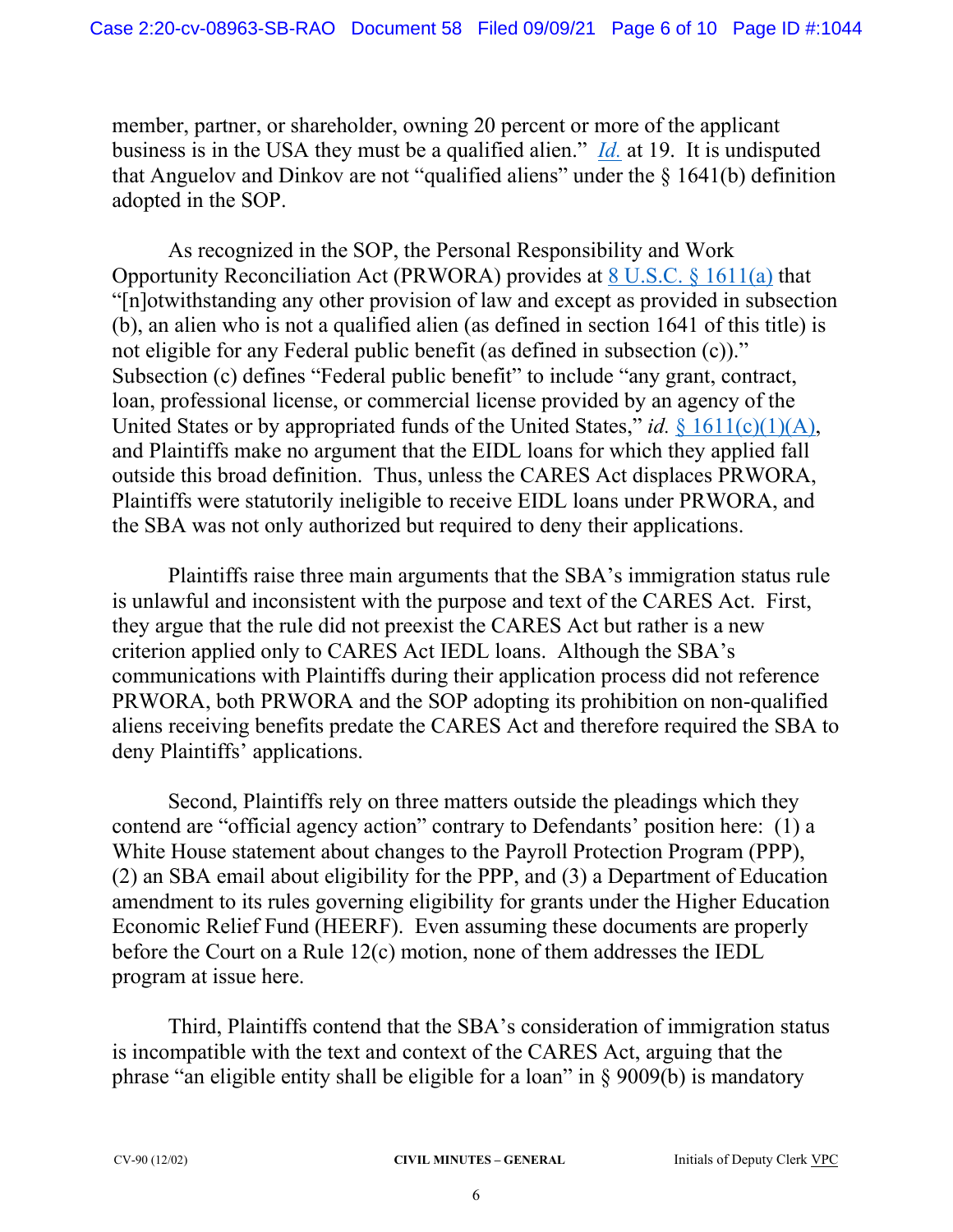member, partner, or shareholder, owning 20 percent or more of the applicant business is in the USA they must be a qualified alien." *Id.* at 19. It is undisputed that Anguelov and Dinkov are not "qualified aliens" under the  $\S$  1641(b) definition adopted in the SOP.

As recognized in the SOP, the Personal Responsibility and Work Opportunity Reconciliation Act (PRWORA) provides at 8 U.S.C. § 1611(a) that "[n]otwithstanding any other provision of law and except as provided in subsection (b), an alien who is not a qualified alien (as defined in section 1641 of this title) is not eligible for any Federal public benefit (as defined in subsection (c))." Subsection (c) defines "Federal public benefit" to include "any grant, contract, loan, professional license, or commercial license provided by an agency of the United States or by appropriated funds of the United States," *id.* § 1611(c)(1)(A), and Plaintiffs make no argument that the EIDL loans for which they applied fall outside this broad definition. Thus, unless the CARES Act displaces PRWORA, Plaintiffs were statutorily ineligible to receive EIDL loans under PRWORA, and the SBA was not only authorized but required to deny their applications.

Plaintiffs raise three main arguments that the SBA's immigration status rule is unlawful and inconsistent with the purpose and text of the CARES Act. First, they argue that the rule did not preexist the CARES Act but rather is a new criterion applied only to CARES Act IEDL loans. Although the SBA's communications with Plaintiffs during their application process did not reference PRWORA, both PRWORA and the SOP adopting its prohibition on non-qualified aliens receiving benefits predate the CARES Act and therefore required the SBA to deny Plaintiffs' applications.

Second, Plaintiffs rely on three matters outside the pleadings which they contend are "official agency action" contrary to Defendants' position here: (1) a White House statement about changes to the Payroll Protection Program (PPP), (2) an SBA email about eligibility for the PPP, and (3) a Department of Education amendment to its rules governing eligibility for grants under the Higher Education Economic Relief Fund (HEERF). Even assuming these documents are properly before the Court on a Rule 12(c) motion, none of them addresses the IEDL program at issue here.

Third, Plaintiffs contend that the SBA's consideration of immigration status is incompatible with the text and context of the CARES Act, arguing that the phrase "an eligible entity shall be eligible for a loan" in § 9009(b) is mandatory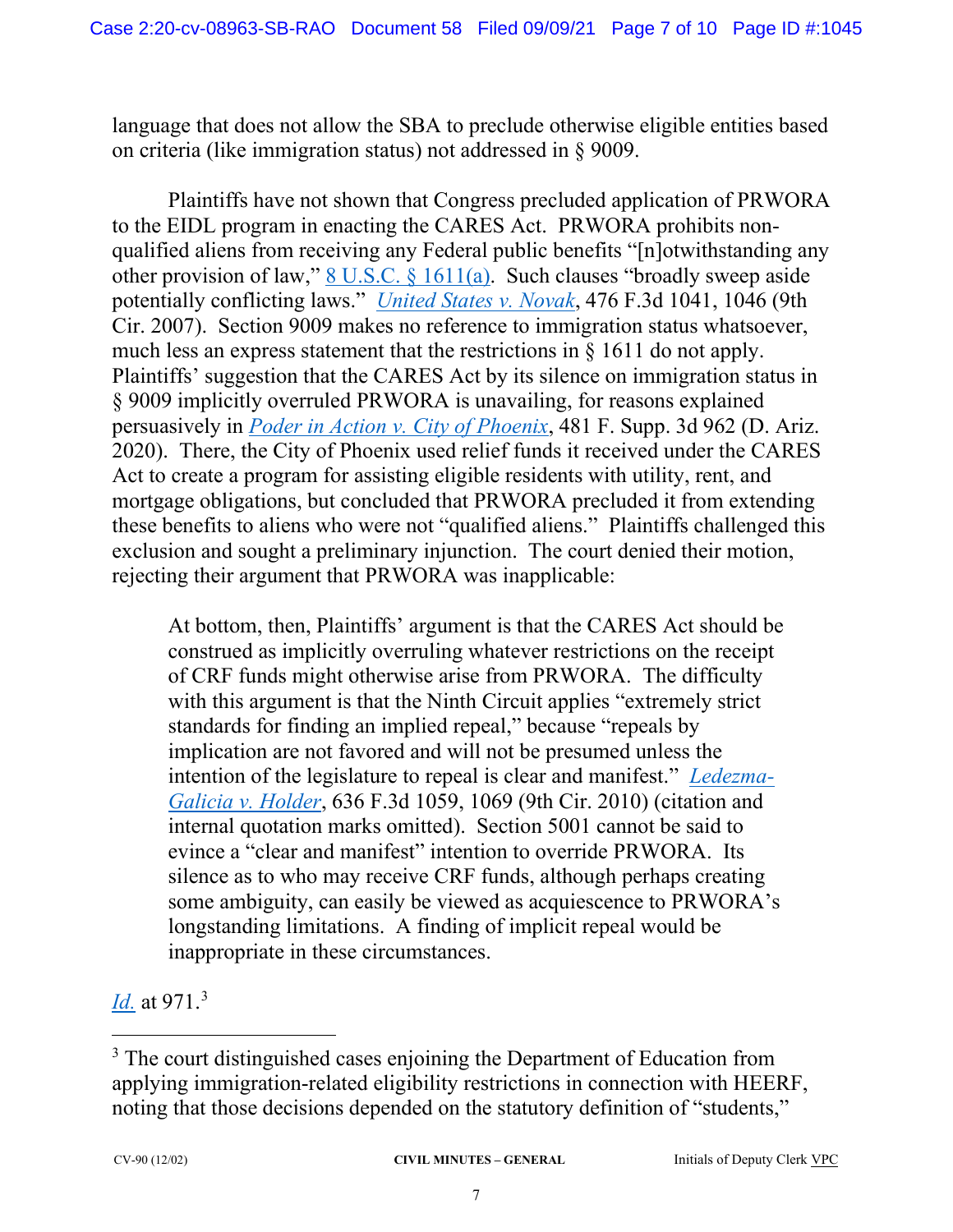language that does not allow the SBA to preclude otherwise eligible entities based on criteria (like immigration status) not addressed in § 9009.

Plaintiffs have not shown that Congress precluded application of PRWORA to the EIDL program in enacting the CARES Act. PRWORA prohibits nonqualified aliens from receiving any Federal public benefits "[n]otwithstanding any other provision of law," 8 U.S.C. § 1611(a). Such clauses "broadly sweep aside potentially conflicting laws." *United States v. Novak*, 476 F.3d 1041, 1046 (9th Cir. 2007). Section 9009 makes no reference to immigration status whatsoever, much less an express statement that the restrictions in § 1611 do not apply. Plaintiffs' suggestion that the CARES Act by its silence on immigration status in § 9009 implicitly overruled PRWORA is unavailing, for reasons explained persuasively in *Poder in Action v. City of Phoenix*, 481 F. Supp. 3d 962 (D. Ariz. 2020). There, the City of Phoenix used relief funds it received under the CARES Act to create a program for assisting eligible residents with utility, rent, and mortgage obligations, but concluded that PRWORA precluded it from extending these benefits to aliens who were not "qualified aliens." Plaintiffs challenged this exclusion and sought a preliminary injunction. The court denied their motion, rejecting their argument that PRWORA was inapplicable:

At bottom, then, Plaintiffs' argument is that the CARES Act should be construed as implicitly overruling whatever restrictions on the receipt of CRF funds might otherwise arise from PRWORA. The difficulty with this argument is that the Ninth Circuit applies "extremely strict standards for finding an implied repeal," because "repeals by implication are not favored and will not be presumed unless the intention of the legislature to repeal is clear and manifest." *Ledezma-Galicia v. Holder*, 636 F.3d 1059, 1069 (9th Cir. 2010) (citation and internal quotation marks omitted). Section 5001 cannot be said to evince a "clear and manifest" intention to override PRWORA. Its silence as to who may receive CRF funds, although perhaps creating some ambiguity, can easily be viewed as acquiescence to PRWORA's longstanding limitations. A finding of implicit repeal would be inappropriate in these circumstances.

*Id.* at 971. 3

<sup>&</sup>lt;sup>3</sup> The court distinguished cases enjoining the Department of Education from applying immigration-related eligibility restrictions in connection with HEERF, noting that those decisions depended on the statutory definition of "students,"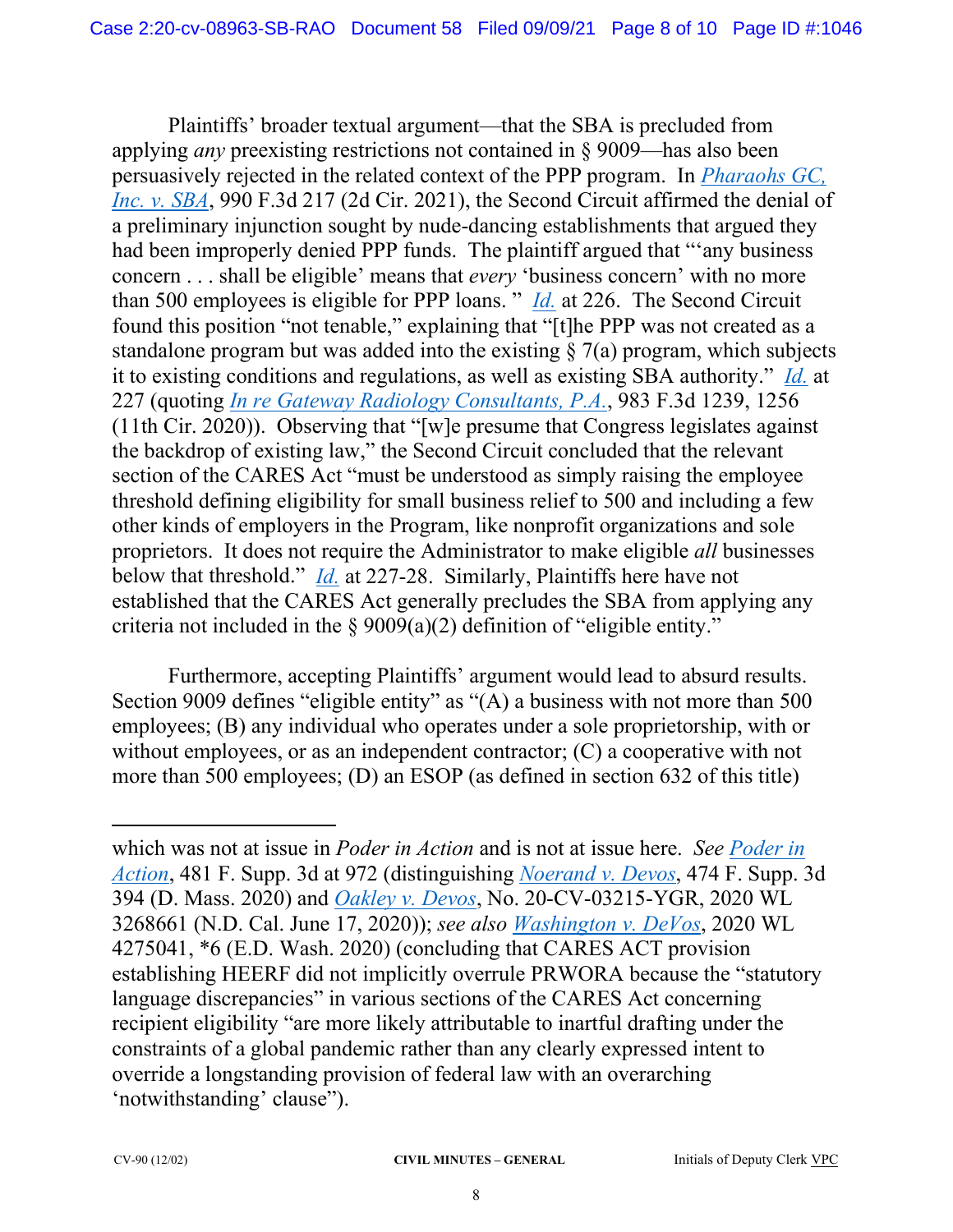Plaintiffs' broader textual argument—that the SBA is precluded from applying *any* preexisting restrictions not contained in § 9009—has also been persuasively rejected in the related context of the PPP program. In *Pharaohs GC, Inc. v. SBA*, 990 F.3d 217 (2d Cir. 2021), the Second Circuit affirmed the denial of a preliminary injunction sought by nude-dancing establishments that argued they had been improperly denied PPP funds. The plaintiff argued that "'any business concern . . . shall be eligible' means that *every* 'business concern' with no more than 500 employees is eligible for PPP loans. " *Id.* at 226. The Second Circuit found this position "not tenable," explaining that "[t]he PPP was not created as a standalone program but was added into the existing  $\S$  7(a) program, which subjects it to existing conditions and regulations, as well as existing SBA authority." *Id.* at 227 (quoting *In re Gateway Radiology Consultants, P.A.*, 983 F.3d 1239, 1256 (11th Cir. 2020)). Observing that "[w]e presume that Congress legislates against the backdrop of existing law," the Second Circuit concluded that the relevant section of the CARES Act "must be understood as simply raising the employee threshold defining eligibility for small business relief to 500 and including a few other kinds of employers in the Program, like nonprofit organizations and sole proprietors. It does not require the Administrator to make eligible *all* businesses below that threshold." *Id.* at 227-28. Similarly, Plaintiffs here have not established that the CARES Act generally precludes the SBA from applying any criteria not included in the  $\S 9009(a)(2)$  definition of "eligible entity."

Furthermore, accepting Plaintiffs' argument would lead to absurd results. Section 9009 defines "eligible entity" as "(A) a business with not more than 500 employees; (B) any individual who operates under a sole proprietorship, with or without employees, or as an independent contractor; (C) a cooperative with not more than 500 employees; (D) an ESOP (as defined in section 632 of this title)

which was not at issue in *Poder in Action* and is not at issue here. *See Poder in Action*, 481 F. Supp. 3d at 972 (distinguishing *Noerand v. Devos*, 474 F. Supp. 3d 394 (D. Mass. 2020) and *Oakley v. Devos*, No. 20-CV-03215-YGR, 2020 WL 3268661 (N.D. Cal. June 17, 2020)); *see also Washington v. DeVos*, 2020 WL 4275041, \*6 (E.D. Wash. 2020) (concluding that CARES ACT provision establishing HEERF did not implicitly overrule PRWORA because the "statutory language discrepancies" in various sections of the CARES Act concerning recipient eligibility "are more likely attributable to inartful drafting under the constraints of a global pandemic rather than any clearly expressed intent to override a longstanding provision of federal law with an overarching 'notwithstanding' clause").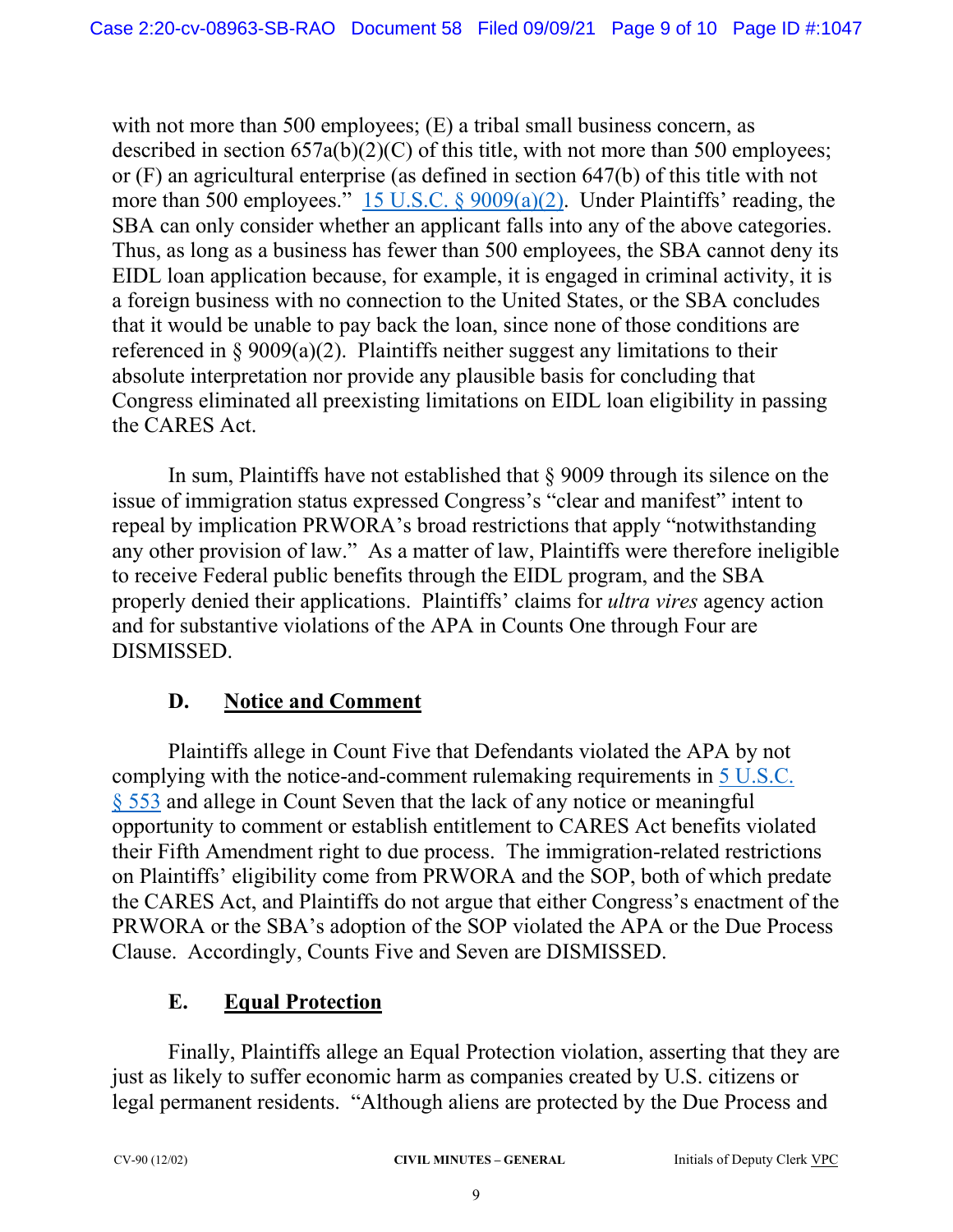with not more than 500 employees; (E) a tribal small business concern, as described in section 657a(b)(2)(C) of this title, with not more than 500 employees; or (F) an agricultural enterprise (as defined in section 647(b) of this title with not more than 500 employees." 15 U.S.C. § 9009(a)(2). Under Plaintiffs' reading, the SBA can only consider whether an applicant falls into any of the above categories. Thus, as long as a business has fewer than 500 employees, the SBA cannot deny its EIDL loan application because, for example, it is engaged in criminal activity, it is a foreign business with no connection to the United States, or the SBA concludes that it would be unable to pay back the loan, since none of those conditions are referenced in § 9009(a)(2). Plaintiffs neither suggest any limitations to their absolute interpretation nor provide any plausible basis for concluding that Congress eliminated all preexisting limitations on EIDL loan eligibility in passing the CARES Act.

In sum, Plaintiffs have not established that § 9009 through its silence on the issue of immigration status expressed Congress's "clear and manifest" intent to repeal by implication PRWORA's broad restrictions that apply "notwithstanding any other provision of law." As a matter of law, Plaintiffs were therefore ineligible to receive Federal public benefits through the EIDL program, and the SBA properly denied their applications. Plaintiffs' claims for *ultra vires* agency action and for substantive violations of the APA in Counts One through Four are DISMISSED.

# **D. Notice and Comment**

Plaintiffs allege in Count Five that Defendants violated the APA by not complying with the notice-and-comment rulemaking requirements in 5 U.S.C. § 553 and allege in Count Seven that the lack of any notice or meaningful opportunity to comment or establish entitlement to CARES Act benefits violated their Fifth Amendment right to due process. The immigration-related restrictions on Plaintiffs' eligibility come from PRWORA and the SOP, both of which predate the CARES Act, and Plaintiffs do not argue that either Congress's enactment of the PRWORA or the SBA's adoption of the SOP violated the APA or the Due Process Clause. Accordingly, Counts Five and Seven are DISMISSED.

# **E. Equal Protection**

Finally, Plaintiffs allege an Equal Protection violation, asserting that they are just as likely to suffer economic harm as companies created by U.S. citizens or legal permanent residents. "Although aliens are protected by the Due Process and